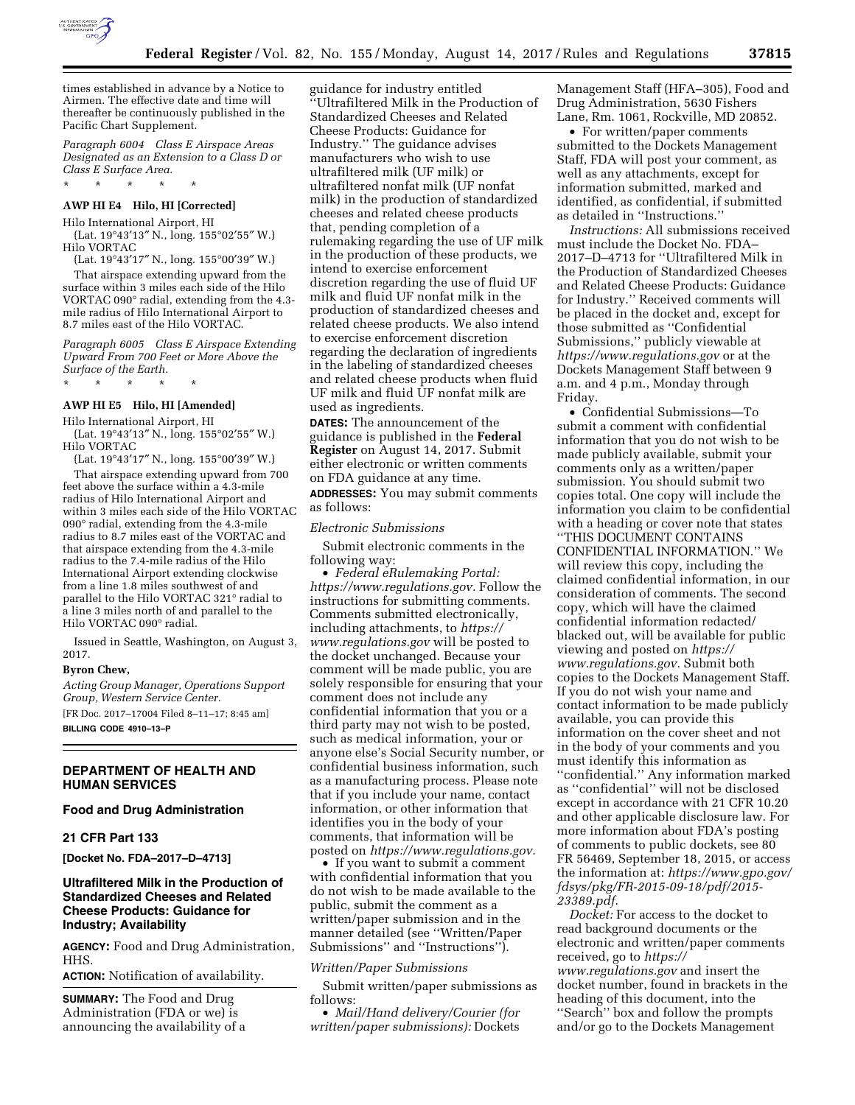

times established in advance by a Notice to Airmen. The effective date and time will thereafter be continuously published in the Pacific Chart Supplement.

*Paragraph 6004 Class E Airspace Areas Designated as an Extension to a Class D or Class E Surface Area.* 

## **AWP HI E4 Hilo, HI [Corrected]**

\* \* \* \* \*

Hilo International Airport, HI (Lat. 19°43′13″ N., long. 155°02′55″ W.)

Hilo VORTAC

(Lat. 19°43′17″ N., long. 155°00′39″ W.)

That airspace extending upward from the surface within 3 miles each side of the Hilo VORTAC 090° radial, extending from the 4.3 mile radius of Hilo International Airport to 8.7 miles east of the Hilo VORTAC.

*Paragraph 6005 Class E Airspace Extending Upward From 700 Feet or More Above the Surface of the Earth.* 

\* \* \* \* \*

# **AWP HI E5 Hilo, HI [Amended]**

Hilo International Airport, HI

(Lat. 19°43′13″ N., long. 155°02′55″ W.) Hilo VORTAC

(Lat. 19°43′17″ N., long. 155°00′39″ W.)

That airspace extending upward from 700 feet above the surface within a 4.3-mile radius of Hilo International Airport and within 3 miles each side of the Hilo VORTAC 090° radial, extending from the 4.3-mile radius to 8.7 miles east of the VORTAC and that airspace extending from the 4.3-mile radius to the 7.4-mile radius of the Hilo International Airport extending clockwise from a line 1.8 miles southwest of and parallel to the Hilo VORTAC 321° radial to a line 3 miles north of and parallel to the Hilo VORTAC 090° radial.

Issued in Seattle, Washington, on August 3, 2017.

#### **Byron Chew,**

*Acting Group Manager, Operations Support Group, Western Service Center.* 

[FR Doc. 2017–17004 Filed 8–11–17; 8:45 am] **BILLING CODE 4910–13–P** 

# **DEPARTMENT OF HEALTH AND HUMAN SERVICES**

## **Food and Drug Administration**

### **21 CFR Part 133**

**[Docket No. FDA–2017–D–4713]** 

# **Ultrafiltered Milk in the Production of Standardized Cheeses and Related Cheese Products: Guidance for Industry; Availability**

**AGENCY:** Food and Drug Administration, HHS.

**ACTION:** Notification of availability.

**SUMMARY:** The Food and Drug Administration (FDA or we) is announcing the availability of a

guidance for industry entitled ''Ultrafiltered Milk in the Production of Standardized Cheeses and Related Cheese Products: Guidance for Industry.'' The guidance advises manufacturers who wish to use ultrafiltered milk (UF milk) or ultrafiltered nonfat milk (UF nonfat milk) in the production of standardized cheeses and related cheese products that, pending completion of a rulemaking regarding the use of UF milk in the production of these products, we intend to exercise enforcement discretion regarding the use of fluid UF milk and fluid UF nonfat milk in the production of standardized cheeses and related cheese products. We also intend to exercise enforcement discretion regarding the declaration of ingredients in the labeling of standardized cheeses and related cheese products when fluid UF milk and fluid UF nonfat milk are used as ingredients.

**DATES:** The announcement of the guidance is published in the **Federal Register** on August 14, 2017. Submit either electronic or written comments on FDA guidance at any time.

**ADDRESSES:** You may submit comments as follows:

#### *Electronic Submissions*

Submit electronic comments in the following way:

• *Federal eRulemaking Portal: [https://www.regulations.gov.](https://www.regulations.gov)* Follow the instructions for submitting comments. Comments submitted electronically, including attachments, to *[https://](https://www.regulations.gov) [www.regulations.gov](https://www.regulations.gov)* will be posted to the docket unchanged. Because your comment will be made public, you are solely responsible for ensuring that your comment does not include any confidential information that you or a third party may not wish to be posted, such as medical information, your or anyone else's Social Security number, or confidential business information, such as a manufacturing process. Please note that if you include your name, contact information, or other information that identifies you in the body of your comments, that information will be posted on *[https://www.regulations.gov.](https://www.regulations.gov)* 

• If you want to submit a comment with confidential information that you do not wish to be made available to the public, submit the comment as a written/paper submission and in the manner detailed (see ''Written/Paper Submissions'' and ''Instructions'').

#### *Written/Paper Submissions*

Submit written/paper submissions as follows:

• *Mail/Hand delivery/Courier (for written/paper submissions):* Dockets

Management Staff (HFA–305), Food and Drug Administration, 5630 Fishers Lane, Rm. 1061, Rockville, MD 20852.

• For written/paper comments submitted to the Dockets Management Staff, FDA will post your comment, as well as any attachments, except for information submitted, marked and identified, as confidential, if submitted as detailed in ''Instructions.''

*Instructions:* All submissions received must include the Docket No. FDA– 2017–D–4713 for ''Ultrafiltered Milk in the Production of Standardized Cheeses and Related Cheese Products: Guidance for Industry.'' Received comments will be placed in the docket and, except for those submitted as ''Confidential Submissions,'' publicly viewable at *<https://www.regulations.gov>* or at the Dockets Management Staff between 9 a.m. and 4 p.m., Monday through Friday.

• Confidential Submissions—To submit a comment with confidential information that you do not wish to be made publicly available, submit your comments only as a written/paper submission. You should submit two copies total. One copy will include the information you claim to be confidential with a heading or cover note that states ''THIS DOCUMENT CONTAINS CONFIDENTIAL INFORMATION.'' We will review this copy, including the claimed confidential information, in our consideration of comments. The second copy, which will have the claimed confidential information redacted/ blacked out, will be available for public viewing and posted on *[https://](https://www.regulations.gov) [www.regulations.gov.](https://www.regulations.gov)* Submit both copies to the Dockets Management Staff. If you do not wish your name and contact information to be made publicly available, you can provide this information on the cover sheet and not in the body of your comments and you must identify this information as ''confidential.'' Any information marked as ''confidential'' will not be disclosed except in accordance with 21 CFR 10.20 and other applicable disclosure law. For more information about FDA's posting of comments to public dockets, see 80 FR 56469, September 18, 2015, or access the information at: *[https://www.gpo.gov/](https://www.gpo.gov/fdsys/pkg/FR-2015-09-18/pdf/2015-23389.pdf) [fdsys/pkg/FR-2015-09-18/pdf/2015-](https://www.gpo.gov/fdsys/pkg/FR-2015-09-18/pdf/2015-23389.pdf)  [23389.pdf.](https://www.gpo.gov/fdsys/pkg/FR-2015-09-18/pdf/2015-23389.pdf)* 

*Docket:* For access to the docket to read background documents or the electronic and written/paper comments received, go to *[https://](https://www.regulations.gov) [www.regulations.gov](https://www.regulations.gov)* and insert the docket number, found in brackets in the heading of this document, into the ''Search'' box and follow the prompts and/or go to the Dockets Management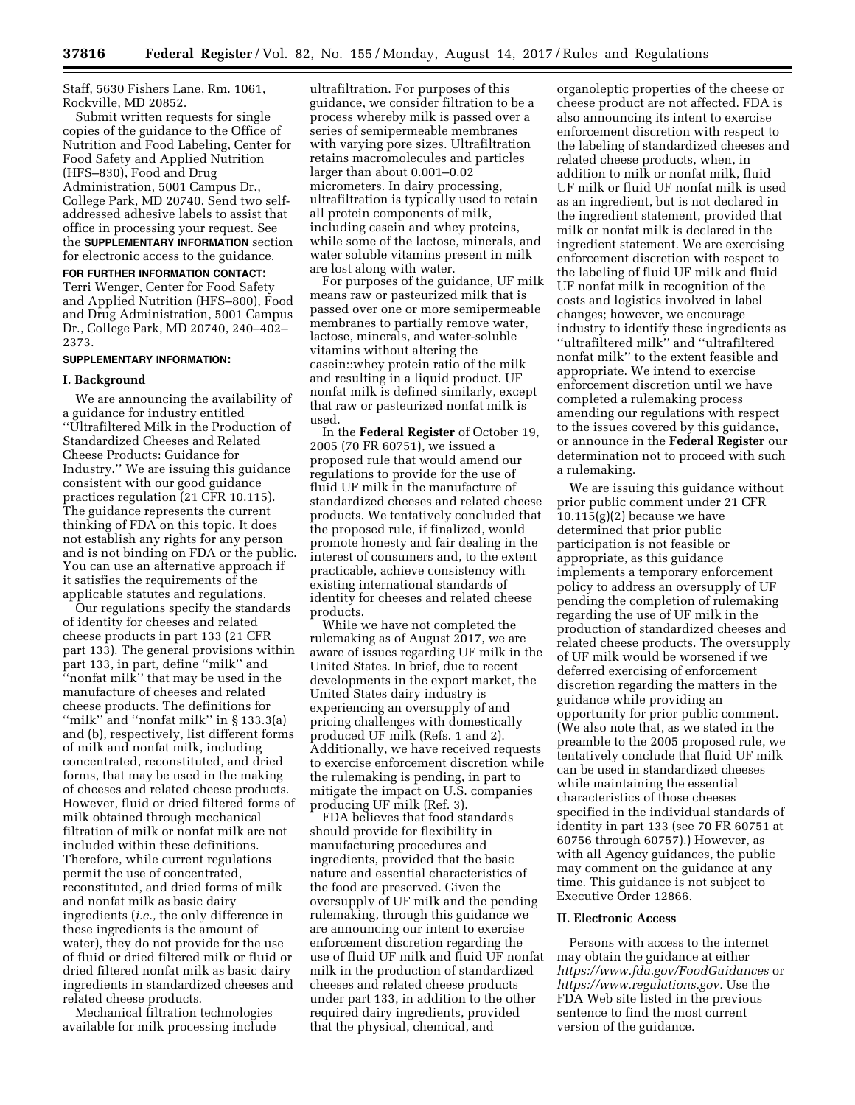Staff, 5630 Fishers Lane, Rm. 1061, Rockville, MD 20852.

Submit written requests for single copies of the guidance to the Office of Nutrition and Food Labeling, Center for Food Safety and Applied Nutrition (HFS–830), Food and Drug Administration, 5001 Campus Dr., College Park, MD 20740. Send two selfaddressed adhesive labels to assist that office in processing your request. See the **SUPPLEMENTARY INFORMATION** section for electronic access to the guidance.

**FOR FURTHER INFORMATION CONTACT:**  Terri Wenger, Center for Food Safety and Applied Nutrition (HFS–800), Food and Drug Administration, 5001 Campus Dr., College Park, MD 20740, 240–402– 2373.

#### **SUPPLEMENTARY INFORMATION:**

#### **I. Background**

We are announcing the availability of a guidance for industry entitled ''Ultrafiltered Milk in the Production of Standardized Cheeses and Related Cheese Products: Guidance for Industry.'' We are issuing this guidance consistent with our good guidance practices regulation (21 CFR 10.115). The guidance represents the current thinking of FDA on this topic. It does not establish any rights for any person and is not binding on FDA or the public. You can use an alternative approach if it satisfies the requirements of the applicable statutes and regulations.

Our regulations specify the standards of identity for cheeses and related cheese products in part 133 (21 CFR part 133). The general provisions within part 133, in part, define ''milk'' and ''nonfat milk'' that may be used in the manufacture of cheeses and related cheese products. The definitions for ''milk'' and ''nonfat milk'' in § 133.3(a) and (b), respectively, list different forms of milk and nonfat milk, including concentrated, reconstituted, and dried forms, that may be used in the making of cheeses and related cheese products. However, fluid or dried filtered forms of milk obtained through mechanical filtration of milk or nonfat milk are not included within these definitions. Therefore, while current regulations permit the use of concentrated, reconstituted, and dried forms of milk and nonfat milk as basic dairy ingredients (*i.e.,* the only difference in these ingredients is the amount of water), they do not provide for the use of fluid or dried filtered milk or fluid or dried filtered nonfat milk as basic dairy ingredients in standardized cheeses and related cheese products.

Mechanical filtration technologies available for milk processing include

ultrafiltration. For purposes of this guidance, we consider filtration to be a process whereby milk is passed over a series of semipermeable membranes with varying pore sizes. Ultrafiltration retains macromolecules and particles larger than about 0.001–0.02 micrometers. In dairy processing, ultrafiltration is typically used to retain all protein components of milk, including casein and whey proteins, while some of the lactose, minerals, and water soluble vitamins present in milk are lost along with water.

For purposes of the guidance, UF milk means raw or pasteurized milk that is passed over one or more semipermeable membranes to partially remove water, lactose, minerals, and water-soluble vitamins without altering the casein::whey protein ratio of the milk and resulting in a liquid product. UF nonfat milk is defined similarly, except that raw or pasteurized nonfat milk is used.

In the **Federal Register** of October 19, 2005 (70 FR 60751), we issued a proposed rule that would amend our regulations to provide for the use of fluid UF milk in the manufacture of standardized cheeses and related cheese products. We tentatively concluded that the proposed rule, if finalized, would promote honesty and fair dealing in the interest of consumers and, to the extent practicable, achieve consistency with existing international standards of identity for cheeses and related cheese products.

While we have not completed the rulemaking as of August 2017, we are aware of issues regarding UF milk in the United States. In brief, due to recent developments in the export market, the United States dairy industry is experiencing an oversupply of and pricing challenges with domestically produced UF milk (Refs. 1 and 2). Additionally, we have received requests to exercise enforcement discretion while the rulemaking is pending, in part to mitigate the impact on U.S. companies producing UF milk (Ref. 3).

FDA believes that food standards should provide for flexibility in manufacturing procedures and ingredients, provided that the basic nature and essential characteristics of the food are preserved. Given the oversupply of UF milk and the pending rulemaking, through this guidance we are announcing our intent to exercise enforcement discretion regarding the use of fluid UF milk and fluid UF nonfat milk in the production of standardized cheeses and related cheese products under part 133, in addition to the other required dairy ingredients, provided that the physical, chemical, and

organoleptic properties of the cheese or cheese product are not affected. FDA is also announcing its intent to exercise enforcement discretion with respect to the labeling of standardized cheeses and related cheese products, when, in addition to milk or nonfat milk, fluid UF milk or fluid UF nonfat milk is used as an ingredient, but is not declared in the ingredient statement, provided that milk or nonfat milk is declared in the ingredient statement. We are exercising enforcement discretion with respect to the labeling of fluid UF milk and fluid UF nonfat milk in recognition of the costs and logistics involved in label changes; however, we encourage industry to identify these ingredients as ''ultrafiltered milk'' and ''ultrafiltered nonfat milk'' to the extent feasible and appropriate. We intend to exercise enforcement discretion until we have completed a rulemaking process amending our regulations with respect to the issues covered by this guidance, or announce in the **Federal Register** our determination not to proceed with such a rulemaking.

We are issuing this guidance without prior public comment under 21 CFR  $10.115(g)(2)$  because we have determined that prior public participation is not feasible or appropriate, as this guidance implements a temporary enforcement policy to address an oversupply of UF pending the completion of rulemaking regarding the use of UF milk in the production of standardized cheeses and related cheese products. The oversupply of UF milk would be worsened if we deferred exercising of enforcement discretion regarding the matters in the guidance while providing an opportunity for prior public comment. (We also note that, as we stated in the preamble to the 2005 proposed rule, we tentatively conclude that fluid UF milk can be used in standardized cheeses while maintaining the essential characteristics of those cheeses specified in the individual standards of identity in part 133 (see 70 FR 60751 at 60756 through 60757).) However, as with all Agency guidances, the public may comment on the guidance at any time. This guidance is not subject to Executive Order 12866.

## **II. Electronic Access**

Persons with access to the internet may obtain the guidance at either *<https://www.fda.gov/FoodGuidances>*or *[https://www.regulations.gov.](https://www.regulations.gov)* Use the FDA Web site listed in the previous sentence to find the most current version of the guidance.